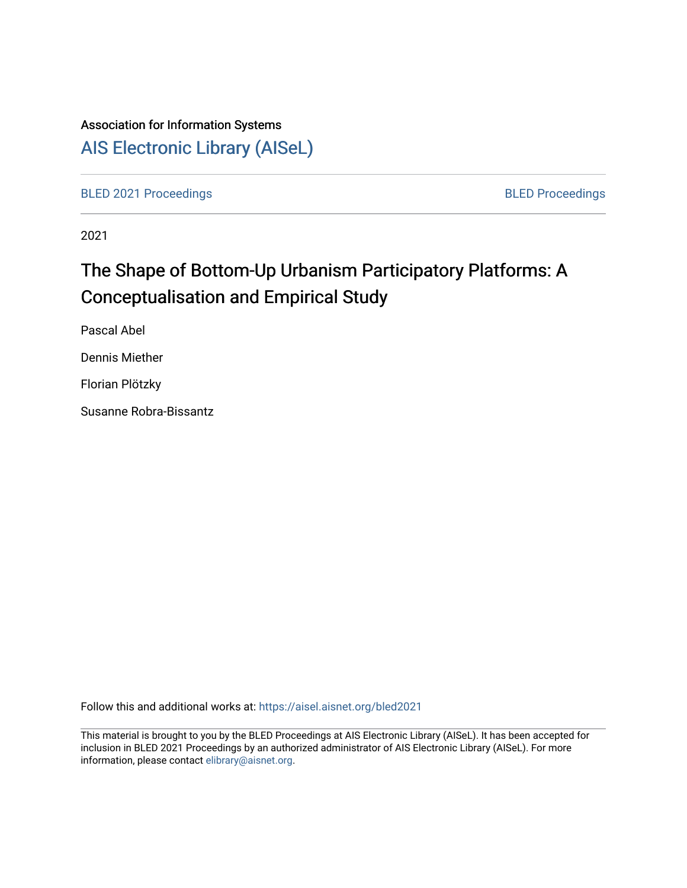## Association for Information Systems

# [AIS Electronic Library \(AISeL\)](https://aisel.aisnet.org/)

[BLED 2021 Proceedings](https://aisel.aisnet.org/bled2021) **BLED Proceedings** 

2021

# The Shape of Bottom-Up Urbanism Participatory Platforms: A Conceptualisation and Empirical Study

Pascal Abel

Dennis Miether

Florian Plötzky

Susanne Robra-Bissantz

Follow this and additional works at: [https://aisel.aisnet.org/bled2021](https://aisel.aisnet.org/bled2021?utm_source=aisel.aisnet.org%2Fbled2021%2F32&utm_medium=PDF&utm_campaign=PDFCoverPages) 

This material is brought to you by the BLED Proceedings at AIS Electronic Library (AISeL). It has been accepted for inclusion in BLED 2021 Proceedings by an authorized administrator of AIS Electronic Library (AISeL). For more information, please contact [elibrary@aisnet.org.](mailto:elibrary@aisnet.org%3E)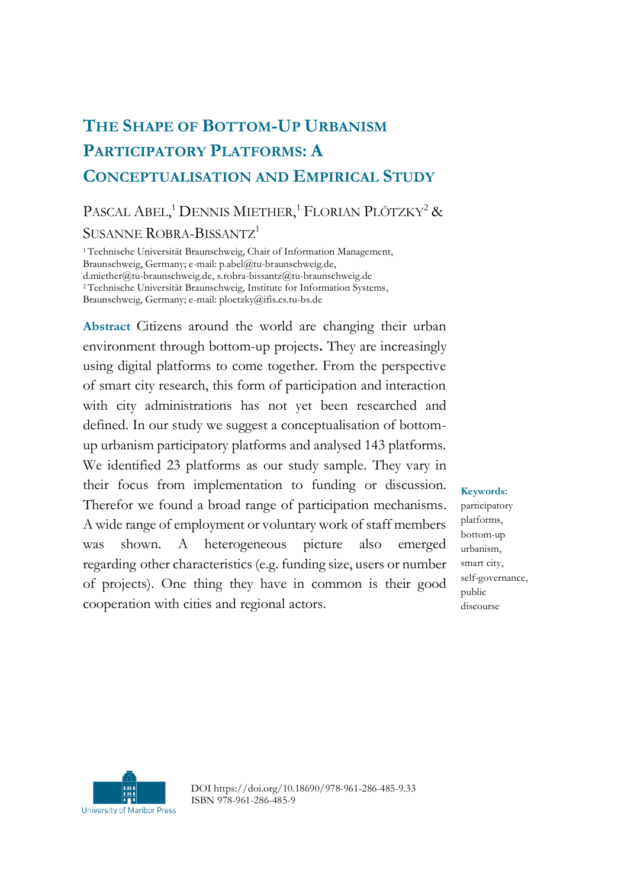## **THE SHAPE OF BOTTOM-UP URBANISM PARTICIPATORY PLATFORMS: A CONCEPTUALISATION AND EMPIRICAL STUDY**

## PASCAL ABEL,<sup>1</sup> DENNIS MIETHER,<sup>1</sup> FLORIAN PLÖTZKY<sup>2</sup> & SUSANNE ROBRA-BISSANTZ<sup>1</sup>

<sup>1</sup>Technische Universität Braunschweig, Chair of Information Management, Braunschweig, Germany; e-mail: p.abel@tu-braunschweig.de, d.miether@tu-braunschweig.de, s.robra-bissantz@tu-braunschweig.de <sup>2</sup>Technische Universität Braunschweig, Institute for Information Systems, Braunschweig, Germany; e-mail: ploetzky@ifis.cs.tu-bs.de

**Abstract** Citizens around the world are changing their urban environment through bottom-up projects**.** They are increasingly using digital platforms to come together. From the perspective of smart city research, this form of participation and interaction with city administrations has not yet been researched and defined. In our study we suggest a conceptualisation of bottomup urbanism participatory platforms and analysed 143 platforms. We identified 23 platforms as our study sample. They vary in their focus from implementation to funding or discussion. Therefor we found a broad range of participation mechanisms. A wide range of employment or voluntary work of staff members was shown. A heterogeneous picture also emerged regarding other characteristics (e.g. funding size, users or number of projects). One thing they have in common is their good cooperation with cities and regional actors.

**Keywords:** participatory platforms, bottom-up urbanism, smart city, self-governance, public discourse



DOI https://doi.org/10.18690/978-961-286-485-9.33 ISBN 978-961-286-485-9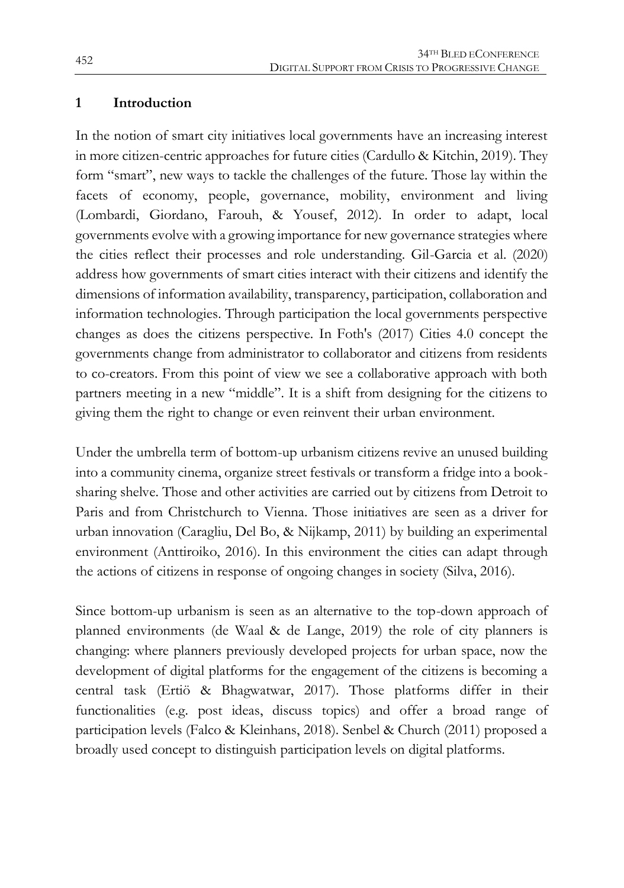#### **1 Introduction**

In the notion of smart city initiatives local governments have an increasing interest in more citizen-centric approaches for future cities (Cardullo & Kitchin, 2019). They form "smart", new ways to tackle the challenges of the future. Those lay within the facets of economy, people, governance, mobility, environment and living (Lombardi, Giordano, Farouh, & Yousef, 2012). In order to adapt, local governments evolve with a growing importance for new governance strategies where the cities reflect their processes and role understanding. Gil-Garcia et al. (2020) address how governments of smart cities interact with their citizens and identify the dimensions of information availability, transparency, participation, collaboration and information technologies. Through participation the local governments perspective changes as does the citizens perspective. In Foth's (2017) Cities 4.0 concept the governments change from administrator to collaborator and citizens from residents to co-creators. From this point of view we see a collaborative approach with both partners meeting in a new "middle". It is a shift from designing for the citizens to giving them the right to change or even reinvent their urban environment.

Under the umbrella term of bottom-up urbanism citizens revive an unused building into a community cinema, organize street festivals or transform a fridge into a booksharing shelve. Those and other activities are carried out by citizens from Detroit to Paris and from Christchurch to Vienna. Those initiatives are seen as a driver for urban innovation (Caragliu, Del Bo, & Nijkamp, 2011) by building an experimental environment (Anttiroiko, 2016). In this environment the cities can adapt through the actions of citizens in response of ongoing changes in society (Silva, 2016).

Since bottom-up urbanism is seen as an alternative to the top-down approach of planned environments (de Waal & de Lange, 2019) the role of city planners is changing: where planners previously developed projects for urban space, now the development of digital platforms for the engagement of the citizens is becoming a central task (Ertiö & Bhagwatwar, 2017). Those platforms differ in their functionalities (e.g. post ideas, discuss topics) and offer a broad range of participation levels (Falco & Kleinhans, 2018). Senbel & Church (2011) proposed a broadly used concept to distinguish participation levels on digital platforms.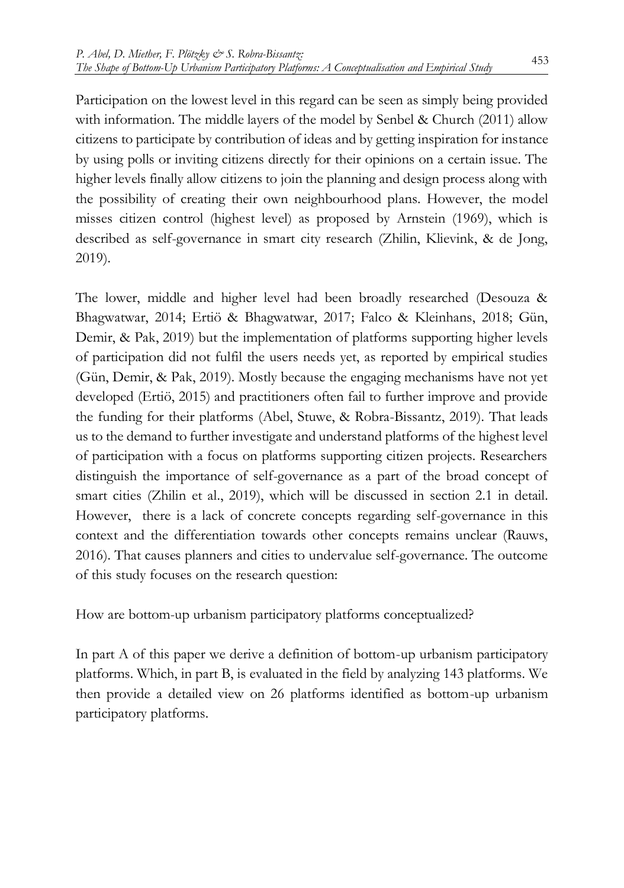Participation on the lowest level in this regard can be seen as simply being provided with information. The middle layers of the model by Senbel & Church (2011) allow citizens to participate by contribution of ideas and by getting inspiration for instance by using polls or inviting citizens directly for their opinions on a certain issue. The higher levels finally allow citizens to join the planning and design process along with the possibility of creating their own neighbourhood plans. However, the model misses citizen control (highest level) as proposed by Arnstein (1969), which is described as self-governance in smart city research (Zhilin, Klievink, & de Jong, 2019).

The lower, middle and higher level had been broadly researched (Desouza & Bhagwatwar, 2014; Ertiö & Bhagwatwar, 2017; Falco & Kleinhans, 2018; Gün, Demir, & Pak, 2019) but the implementation of platforms supporting higher levels of participation did not fulfil the users needs yet, as reported by empirical studies (Gün, Demir, & Pak, 2019). Mostly because the engaging mechanisms have not yet developed (Ertiö, 2015) and practitioners often fail to further improve and provide the funding for their platforms (Abel, Stuwe, & Robra-Bissantz, 2019). That leads us to the demand to further investigate and understand platforms of the highest level of participation with a focus on platforms supporting citizen projects. Researchers distinguish the importance of self-governance as a part of the broad concept of smart cities (Zhilin et al., 2019), which will be discussed in section 2.1 in detail. However, there is a lack of concrete concepts regarding self-governance in this context and the differentiation towards other concepts remains unclear (Rauws, 2016). That causes planners and cities to undervalue self-governance. The outcome of this study focuses on the research question:

How are bottom-up urbanism participatory platforms conceptualized?

In part A of this paper we derive a definition of bottom-up urbanism participatory platforms. Which, in part B, is evaluated in the field by analyzing 143 platforms. We then provide a detailed view on 26 platforms identified as bottom-up urbanism participatory platforms.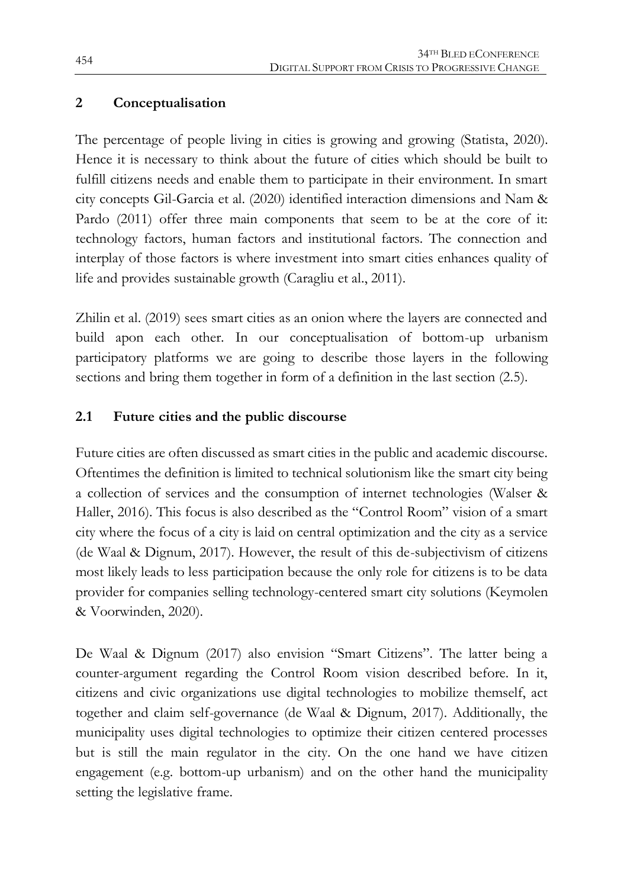#### **2 Conceptualisation**

The percentage of people living in cities is growing and growing (Statista, 2020). Hence it is necessary to think about the future of cities which should be built to fulfill citizens needs and enable them to participate in their environment. In smart city concepts Gil-Garcia et al. (2020) identified interaction dimensions and Nam & Pardo (2011) offer three main components that seem to be at the core of it: technology factors, human factors and institutional factors. The connection and interplay of those factors is where investment into smart cities enhances quality of life and provides sustainable growth (Caragliu et al., 2011).

Zhilin et al. (2019) sees smart cities as an onion where the layers are connected and build apon each other. In our conceptualisation of bottom-up urbanism participatory platforms we are going to describe those layers in the following sections and bring them together in form of a definition in the last section (2.5).

#### **2.1 Future cities and the public discourse**

Future cities are often discussed as smart cities in the public and academic discourse. Oftentimes the definition is limited to technical solutionism like the smart city being a collection of services and the consumption of internet technologies (Walser & Haller, 2016). This focus is also described as the "Control Room" vision of a smart city where the focus of a city is laid on central optimization and the city as a service (de Waal & Dignum, 2017). However, the result of this de-subjectivism of citizens most likely leads to less participation because the only role for citizens is to be data provider for companies selling technology-centered smart city solutions (Keymolen & Voorwinden, 2020).

De Waal & Dignum (2017) also envision "Smart Citizens". The latter being a counter-argument regarding the Control Room vision described before. In it, citizens and civic organizations use digital technologies to mobilize themself, act together and claim self-governance (de Waal & Dignum, 2017). Additionally, the municipality uses digital technologies to optimize their citizen centered processes but is still the main regulator in the city. On the one hand we have citizen engagement (e.g. bottom-up urbanism) and on the other hand the municipality setting the legislative frame.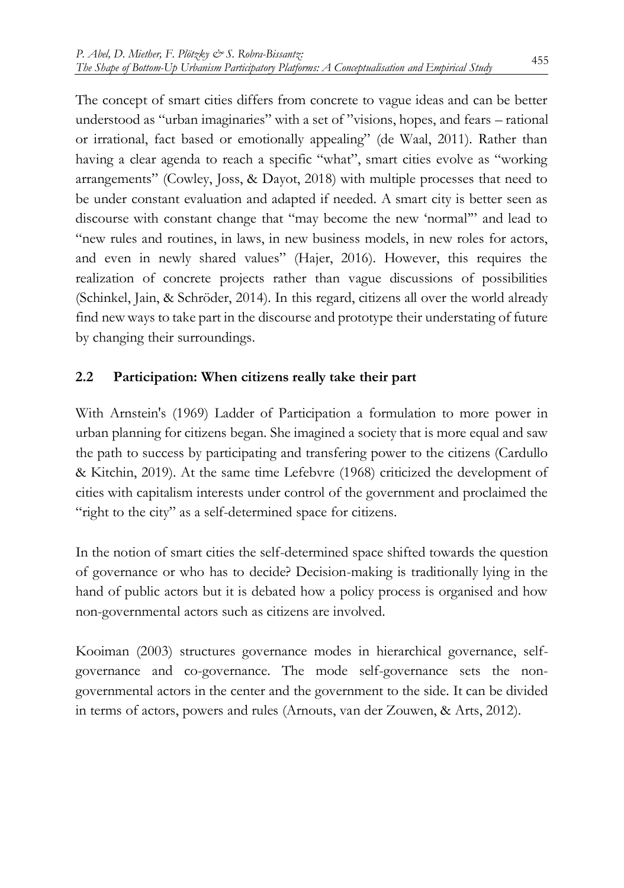The concept of smart cities differs from concrete to vague ideas and can be better understood as "urban imaginaries" with a set of "visions, hopes, and fears – rational or irrational, fact based or emotionally appealing" (de Waal, 2011). Rather than having a clear agenda to reach a specific "what", smart cities evolve as "working arrangements" (Cowley, Joss, & Dayot, 2018) with multiple processes that need to be under constant evaluation and adapted if needed. A smart city is better seen as discourse with constant change that "may become the new 'normal'" and lead to "new rules and routines, in laws, in new business models, in new roles for actors, and even in newly shared values" (Hajer, 2016). However, this requires the realization of concrete projects rather than vague discussions of possibilities (Schinkel, Jain, & Schröder, 2014). In this regard, citizens all over the world already find new ways to take part in the discourse and prototype their understating of future by changing their surroundings.

#### **2.2 Participation: When citizens really take their part**

With Arnstein's (1969) Ladder of Participation a formulation to more power in urban planning for citizens began. She imagined a society that is more equal and saw the path to success by participating and transfering power to the citizens (Cardullo & Kitchin, 2019). At the same time Lefebvre (1968) criticized the development of cities with capitalism interests under control of the government and proclaimed the "right to the city" as a self-determined space for citizens.

In the notion of smart cities the self-determined space shifted towards the question of governance or who has to decide? Decision-making is traditionally lying in the hand of public actors but it is debated how a policy process is organised and how non-governmental actors such as citizens are involved.

Kooiman (2003) structures governance modes in hierarchical governance, selfgovernance and co-governance. The mode self-governance sets the nongovernmental actors in the center and the government to the side. It can be divided in terms of actors, powers and rules (Arnouts, van der Zouwen, & Arts, 2012).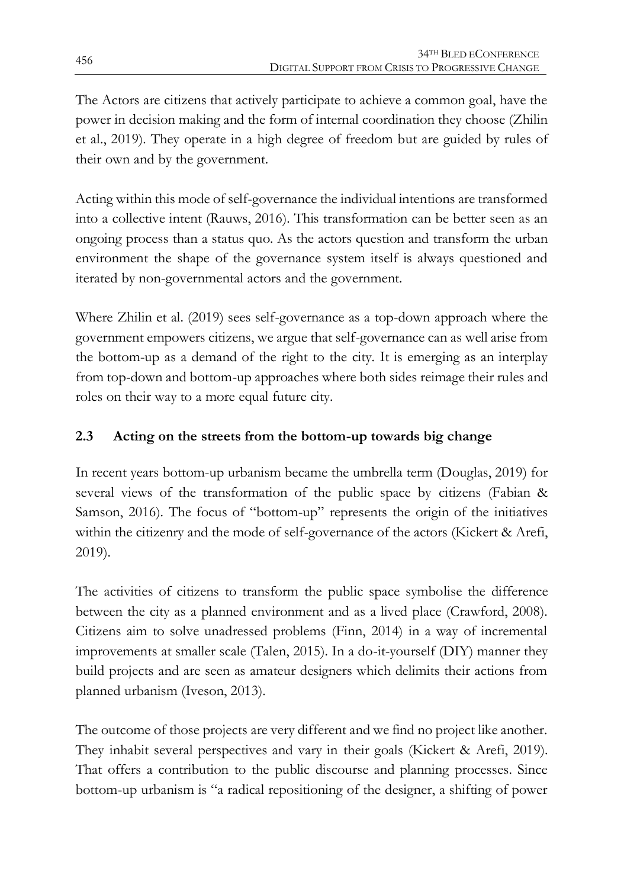The Actors are citizens that actively participate to achieve a common goal, have the power in decision making and the form of internal coordination they choose (Zhilin et al., 2019). They operate in a high degree of freedom but are guided by rules of their own and by the government.

Acting within this mode of self-governance the individual intentions are transformed into a collective intent (Rauws, 2016). This transformation can be better seen as an ongoing process than a status quo. As the actors question and transform the urban environment the shape of the governance system itself is always questioned and iterated by non-governmental actors and the government.

Where Zhilin et al. (2019) sees self-governance as a top-down approach where the government empowers citizens, we argue that self-governance can as well arise from the bottom-up as a demand of the right to the city. It is emerging as an interplay from top-down and bottom-up approaches where both sides reimage their rules and roles on their way to a more equal future city.

### **2.3 Acting on the streets from the bottom-up towards big change**

In recent years bottom-up urbanism became the umbrella term (Douglas, 2019) for several views of the transformation of the public space by citizens (Fabian & Samson, 2016). The focus of "bottom-up" represents the origin of the initiatives within the citizenry and the mode of self-governance of the actors (Kickert & Arefi, 2019).

The activities of citizens to transform the public space symbolise the difference between the city as a planned environment and as a lived place (Crawford, 2008). Citizens aim to solve unadressed problems (Finn, 2014) in a way of incremental improvements at smaller scale (Talen, 2015). In a do-it-yourself (DIY) manner they build projects and are seen as amateur designers which delimits their actions from planned urbanism (Iveson, 2013).

The outcome of those projects are very different and we find no project like another. They inhabit several perspectives and vary in their goals (Kickert & Arefi, 2019). That offers a contribution to the public discourse and planning processes. Since bottom-up urbanism is "a radical repositioning of the designer, a shifting of power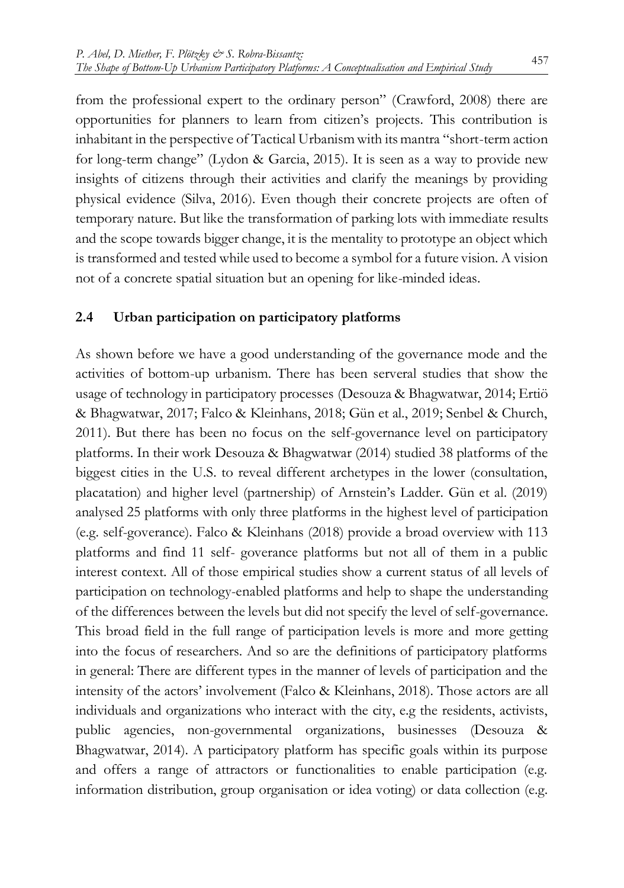from the professional expert to the ordinary person" (Crawford, 2008) there are opportunities for planners to learn from citizen's projects. This contribution is inhabitant in the perspective of Tactical Urbanism with its mantra "short-term action for long-term change" (Lydon & Garcia, 2015). It is seen as a way to provide new insights of citizens through their activities and clarify the meanings by providing physical evidence (Silva, 2016). Even though their concrete projects are often of temporary nature. But like the transformation of parking lots with immediate results and the scope towards bigger change, it is the mentality to prototype an object which is transformed and tested while used to become a symbol for a future vision. A vision not of a concrete spatial situation but an opening for like-minded ideas.

#### **2.4 Urban participation on participatory platforms**

As shown before we have a good understanding of the governance mode and the activities of bottom-up urbanism. There has been serveral studies that show the usage of technology in participatory processes (Desouza & Bhagwatwar, 2014; Ertiö & Bhagwatwar, 2017; Falco & Kleinhans, 2018; Gün et al., 2019; Senbel & Church, 2011). But there has been no focus on the self-governance level on participatory platforms. In their work Desouza & Bhagwatwar (2014) studied 38 platforms of the biggest cities in the U.S. to reveal different archetypes in the lower (consultation, placatation) and higher level (partnership) of Arnstein's Ladder. Gün et al. (2019) analysed 25 platforms with only three platforms in the highest level of participation (e.g. self-goverance). Falco & Kleinhans (2018) provide a broad overview with 113 platforms and find 11 self- goverance platforms but not all of them in a public interest context. All of those empirical studies show a current status of all levels of participation on technology-enabled platforms and help to shape the understanding of the differences between the levels but did not specify the level of self-governance. This broad field in the full range of participation levels is more and more getting into the focus of researchers. And so are the definitions of participatory platforms in general: There are different types in the manner of levels of participation and the intensity of the actors' involvement (Falco & Kleinhans, 2018). Those actors are all individuals and organizations who interact with the city, e.g the residents, activists, public agencies, non-governmental organizations, businesses (Desouza & Bhagwatwar, 2014). A participatory platform has specific goals within its purpose and offers a range of attractors or functionalities to enable participation (e.g. information distribution, group organisation or idea voting) or data collection (e.g.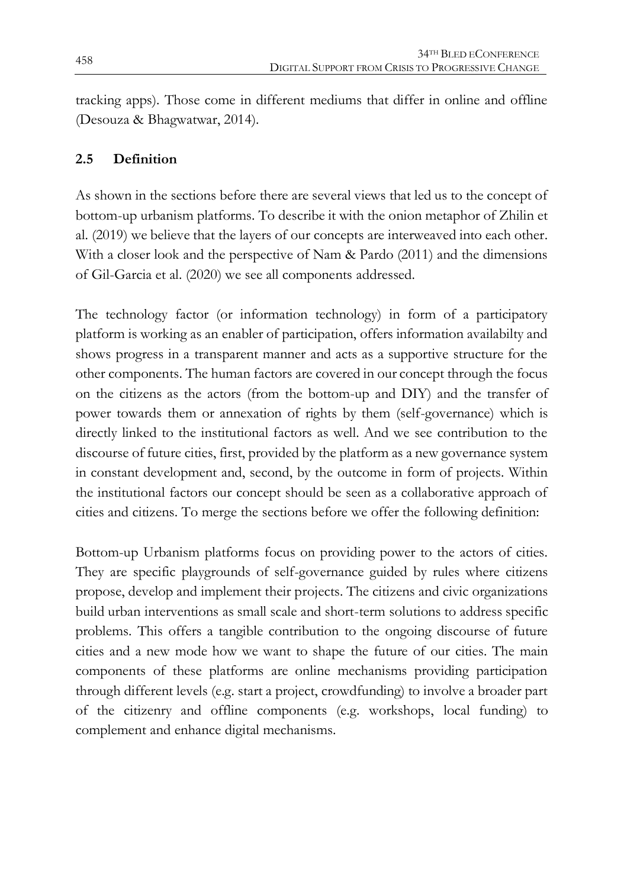tracking apps). Those come in different mediums that differ in online and offline (Desouza & Bhagwatwar, 2014).

#### **2.5 Definition**

As shown in the sections before there are several views that led us to the concept of bottom-up urbanism platforms. To describe it with the onion metaphor of Zhilin et al. (2019) we believe that the layers of our concepts are interweaved into each other. With a closer look and the perspective of Nam & Pardo (2011) and the dimensions of Gil-Garcia et al. (2020) we see all components addressed.

The technology factor (or information technology) in form of a participatory platform is working as an enabler of participation, offers information availabilty and shows progress in a transparent manner and acts as a supportive structure for the other components. The human factors are covered in our concept through the focus on the citizens as the actors (from the bottom-up and DIY) and the transfer of power towards them or annexation of rights by them (self-governance) which is directly linked to the institutional factors as well. And we see contribution to the discourse of future cities, first, provided by the platform as a new governance system in constant development and, second, by the outcome in form of projects. Within the institutional factors our concept should be seen as a collaborative approach of cities and citizens. To merge the sections before we offer the following definition:

Bottom-up Urbanism platforms focus on providing power to the actors of cities. They are specific playgrounds of self-governance guided by rules where citizens propose, develop and implement their projects. The citizens and civic organizations build urban interventions as small scale and short-term solutions to address specific problems. This offers a tangible contribution to the ongoing discourse of future cities and a new mode how we want to shape the future of our cities. The main components of these platforms are online mechanisms providing participation through different levels (e.g. start a project, crowdfunding) to involve a broader part of the citizenry and offline components (e.g. workshops, local funding) to complement and enhance digital mechanisms.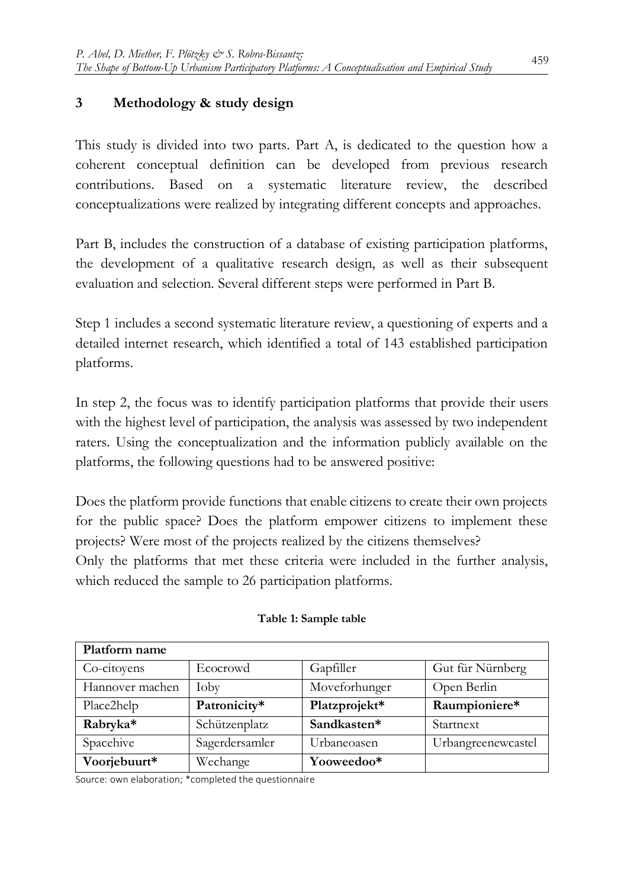#### **3 Methodology & study design**

This study is divided into two parts. Part A, is dedicated to the question how a coherent conceptual definition can be developed from previous research contributions. Based on a systematic literature review, the described conceptualizations were realized by integrating different concepts and approaches.

Part B, includes the construction of a database of existing participation platforms, the development of a qualitative research design, as well as their subsequent evaluation and selection. Several different steps were performed in Part B.

Step 1 includes a second systematic literature review, a questioning of experts and a detailed internet research, which identified a total of 143 established participation platforms.

In step 2, the focus was to identify participation platforms that provide their users with the highest level of participation, the analysis was assessed by two independent raters. Using the conceptualization and the information publicly available on the platforms, the following questions had to be answered positive:

Does the platform provide functions that enable citizens to create their own projects for the public space? Does the platform empower citizens to implement these projects? Were most of the projects realized by the citizens themselves? Only the platforms that met these criteria were included in the further analysis, which reduced the sample to 26 participation platforms.

| Platform name   |                |               |                    |
|-----------------|----------------|---------------|--------------------|
| Co-citoyens     | Ecocrowd       | Gapfiller     | Gut für Nürnberg   |
| Hannover machen | Ioby           | Moveforhunger | Open Berlin        |
| Place2help      | Patronicity*   | Platzprojekt* | Raumpioniere*      |
| Rabryka*        | Schützenplatz  | Sandkasten*   | Startnext          |
| Spacehive       | Sagerdersamler | Urbaneoasen   | Urbangreenewcastel |
| Voorjebuurt*    | Wechange       | Yooweedoo*    |                    |

#### **Table 1: Sample table**

Source: own elaboration; \*completed the questionnaire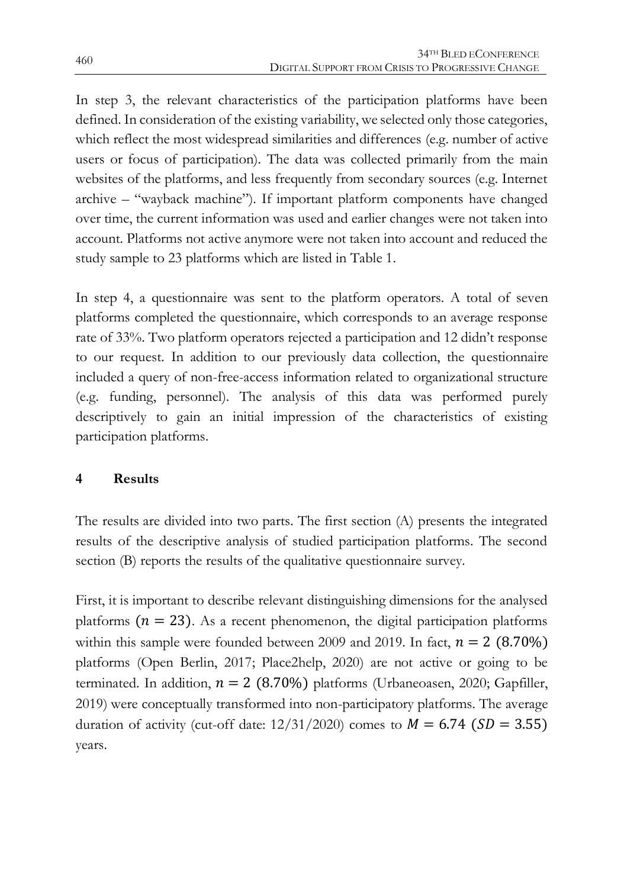In step 3, the relevant characteristics of the participation platforms have been defined. In consideration of the existing variability, we selected only those categories, which reflect the most widespread similarities and differences (e.g. number of active users or focus of participation). The data was collected primarily from the main websites of the platforms, and less frequently from secondary sources (e.g. Internet archive – "wayback machine"). If important platform components have changed over time, the current information was used and earlier changes were not taken into account. Platforms not active anymore were not taken into account and reduced the study sample to 23 platforms which are listed in Table 1.

In step 4, a questionnaire was sent to the platform operators. A total of seven platforms completed the questionnaire, which corresponds to an average response rate of 33%. Two platform operators rejected a participation and 12 didn't response to our request. In addition to our previously data collection, the questionnaire included a query of non-free-access information related to organizational structure (e.g. funding, personnel). The analysis of this data was performed purely descriptively to gain an initial impression of the characteristics of existing participation platforms.

#### **4 Results**

The results are divided into two parts. The first section (A) presents the integrated results of the descriptive analysis of studied participation platforms. The second section (B) reports the results of the qualitative questionnaire survey.

First, it is important to describe relevant distinguishing dimensions for the analysed platforms ( $n = 23$ ). As a recent phenomenon, the digital participation platforms within this sample were founded between 2009 and 2019. In fact,  $n = 2$  (8.70%) platforms (Open Berlin, 2017; Place2help, 2020) are not active or going to be terminated. In addition,  $n = 2$  (8.70%) platforms (Urbaneoasen, 2020; Gapfiller, 2019) were conceptually transformed into non-participatory platforms. The average duration of activity (cut-off date:  $12/31/2020$ ) comes to  $M = 6.74$  (SD = 3.55) years.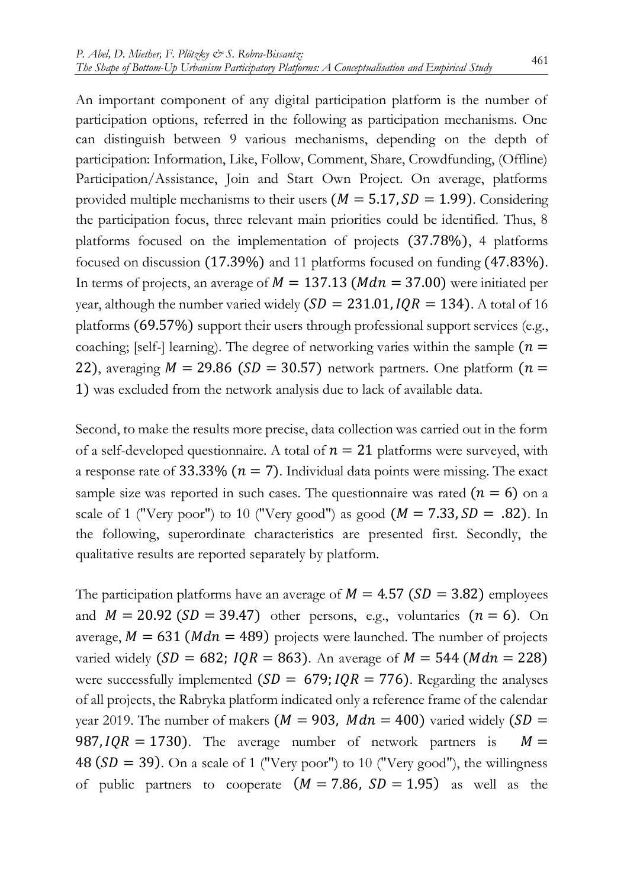An important component of any digital participation platform is the number of participation options, referred in the following as participation mechanisms. One can distinguish between 9 various mechanisms, depending on the depth of participation: Information, Like, Follow, Comment, Share, Crowdfunding, (Offline) Participation/Assistance, Join and Start Own Project. On average, platforms provided multiple mechanisms to their users  $(M = 5.17, SD = 1.99)$ . Considering the participation focus, three relevant main priorities could be identified. Thus, 8 platforms focused on the implementation of projects (37.78%), 4 platforms focused on discussion (17.39%) and 11 platforms focused on funding (47.83%). In terms of projects, an average of  $M = 137.13$  ( $Mdn = 37.00$ ) were initiated per year, although the number varied widely  $(SD = 231.01, IQR = 134)$ . A total of 16 platforms (69.57%) support their users through professional support services (e.g., coaching; [self-] learning). The degree of networking varies within the sample  $(n =$ 22), averaging  $M = 29.86$  (*SD* = 30.57) network partners. One platform ( $n =$ 1) was excluded from the network analysis due to lack of available data.

Second, to make the results more precise, data collection was carried out in the form of a self-developed questionnaire. A total of  $n = 21$  platforms were surveyed, with a response rate of 33.33% ( $n = 7$ ). Individual data points were missing. The exact sample size was reported in such cases. The questionnaire was rated  $(n = 6)$  on a scale of 1 ("Very poor") to 10 ("Very good") as good  $(M = 7.33, SD = .82)$ . In the following, superordinate characteristics are presented first. Secondly, the qualitative results are reported separately by platform.

The participation platforms have an average of  $M = 4.57$  ( $SD = 3.82$ ) employees and  $M = 20.92$  (SD = 39.47) other persons, e.g., voluntaries  $(n = 6)$ . On average,  $M = 631$  ( $Mdn = 489$ ) projects were launched. The number of projects varied widely ( $SD = 682$ ;  $IQR = 863$ ). An average of  $M = 544$  ( $Mdn = 228$ ) were successfully implemented  $(SD = 679; IQR = 776)$ . Regarding the analyses of all projects, the Rabryka platform indicated only a reference frame of the calendar year 2019. The number of makers ( $M = 903$ ,  $Mdn = 400$ ) varied widely (SD = 987,  $IQR = 1730$ ). The average number of network partners is  $M =$ 48 ( $SD = 39$ ). On a scale of 1 ("Very poor") to 10 ("Very good"), the willingness of public partners to cooperate  $(M = 7.86, SD = 1.95)$  as well as the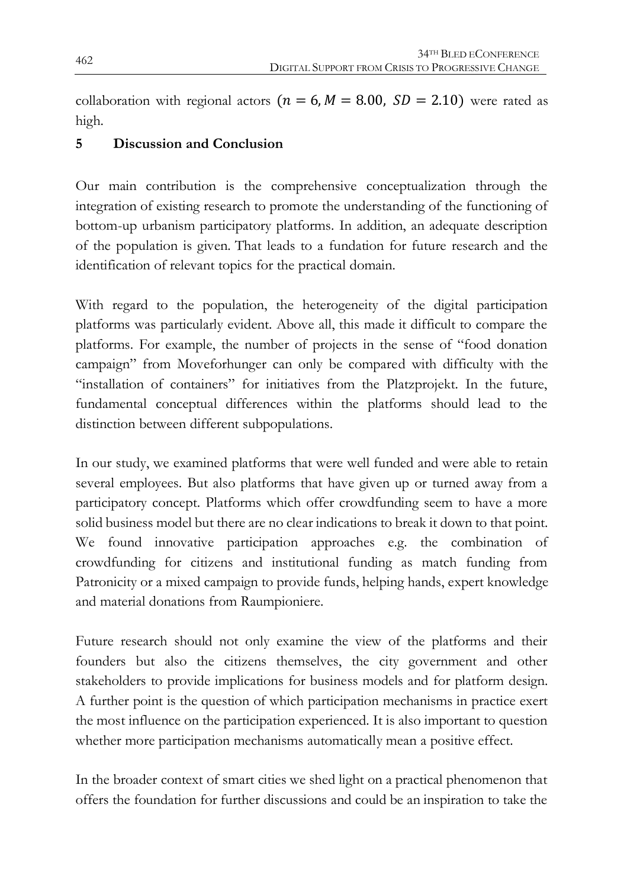collaboration with regional actors ( $n = 6, M = 8.00, SD = 2.10$ ) were rated as high.

#### **5 Discussion and Conclusion**

Our main contribution is the comprehensive conceptualization through the integration of existing research to promote the understanding of the functioning of bottom-up urbanism participatory platforms. In addition, an adequate description of the population is given. That leads to a fundation for future research and the identification of relevant topics for the practical domain.

With regard to the population, the heterogeneity of the digital participation platforms was particularly evident. Above all, this made it difficult to compare the platforms. For example, the number of projects in the sense of "food donation campaign" from Moveforhunger can only be compared with difficulty with the "installation of containers" for initiatives from the Platzprojekt. In the future, fundamental conceptual differences within the platforms should lead to the distinction between different subpopulations.

In our study, we examined platforms that were well funded and were able to retain several employees. But also platforms that have given up or turned away from a participatory concept. Platforms which offer crowdfunding seem to have a more solid business model but there are no clear indications to break it down to that point. We found innovative participation approaches e.g. the combination of crowdfunding for citizens and institutional funding as match funding from Patronicity or a mixed campaign to provide funds, helping hands, expert knowledge and material donations from Raumpioniere.

Future research should not only examine the view of the platforms and their founders but also the citizens themselves, the city government and other stakeholders to provide implications for business models and for platform design. A further point is the question of which participation mechanisms in practice exert the most influence on the participation experienced. It is also important to question whether more participation mechanisms automatically mean a positive effect.

In the broader context of smart cities we shed light on a practical phenomenon that offers the foundation for further discussions and could be an inspiration to take the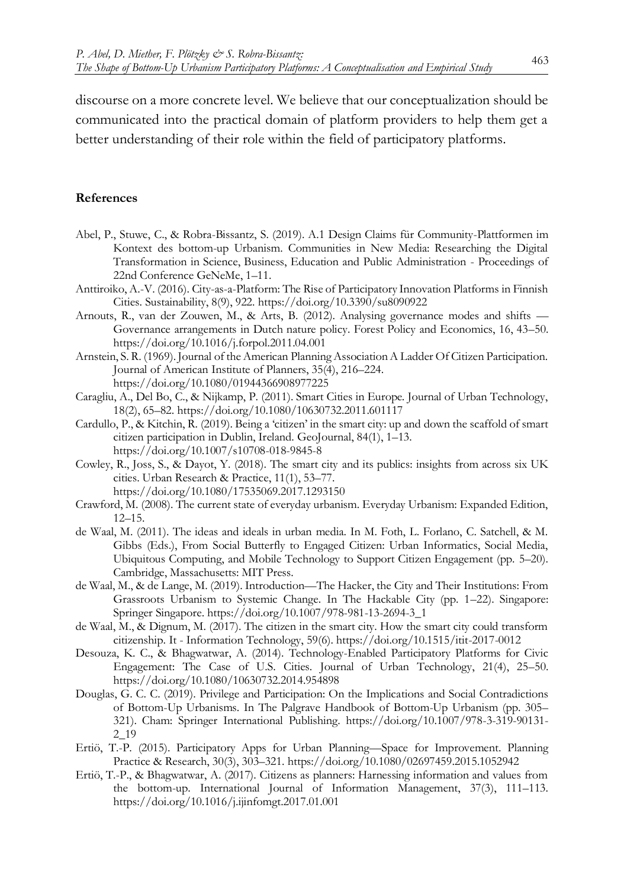discourse on a more concrete level. We believe that our conceptualization should be communicated into the practical domain of platform providers to help them get a better understanding of their role within the field of participatory platforms.

#### **References**

- Abel, P., Stuwe, C., & Robra-Bissantz, S. (2019). A.1 Design Claims für Community-Plattformen im Kontext des bottom-up Urbanism. Communities in New Media: Researching the Digital Transformation in Science, Business, Education and Public Administration - Proceedings of 22nd Conference GeNeMe, 1–11.
- Anttiroiko, A.-V. (2016). City-as-a-Platform: The Rise of Participatory Innovation Platforms in Finnish Cities. Sustainability, 8(9), 922. https://doi.org/10.3390/su8090922
- Arnouts, R., van der Zouwen, M., & Arts, B. (2012). Analysing governance modes and shifts Governance arrangements in Dutch nature policy. Forest Policy and Economics, 16, 43–50. https://doi.org/10.1016/j.forpol.2011.04.001
- Arnstein, S. R. (1969). Journal of the American Planning Association A Ladder Of Citizen Participation. Journal of American Institute of Planners, 35(4), 216–224. https://doi.org/10.1080/01944366908977225
- Caragliu, A., Del Bo, C., & Nijkamp, P. (2011). Smart Cities in Europe. Journal of Urban Technology, 18(2), 65–82. https://doi.org/10.1080/10630732.2011.601117
- Cardullo, P., & Kitchin, R. (2019). Being a 'citizen' in the smart city: up and down the scaffold of smart citizen participation in Dublin, Ireland. GeoJournal, 84(1), 1–13. https://doi.org/10.1007/s10708-018-9845-8
- Cowley, R., Joss, S., & Dayot, Y. (2018). The smart city and its publics: insights from across six UK cities. Urban Research & Practice, 11(1), 53–77.
	- https://doi.org/10.1080/17535069.2017.1293150
- Crawford, M. (2008). The current state of everyday urbanism. Everyday Urbanism: Expanded Edition, 12–15.
- de Waal, M. (2011). The ideas and ideals in urban media. In M. Foth, L. Forlano, C. Satchell, & M. Gibbs (Eds.), From Social Butterfly to Engaged Citizen: Urban Informatics, Social Media, Ubiquitous Computing, and Mobile Technology to Support Citizen Engagement (pp. 5–20). Cambridge, Massachusetts: MIT Press.
- de Waal, M., & de Lange, M. (2019). Introduction—The Hacker, the City and Their Institutions: From Grassroots Urbanism to Systemic Change. In The Hackable City (pp. 1–22). Singapore: Springer Singapore. https://doi.org/10.1007/978-981-13-2694-3\_1
- de Waal, M., & Dignum, M. (2017). The citizen in the smart city. How the smart city could transform citizenship. It - Information Technology, 59(6). https://doi.org/10.1515/itit-2017-0012
- Desouza, K. C., & Bhagwatwar, A. (2014). Technology-Enabled Participatory Platforms for Civic Engagement: The Case of U.S. Cities. Journal of Urban Technology, 21(4), 25–50. https://doi.org/10.1080/10630732.2014.954898
- Douglas, G. C. C. (2019). Privilege and Participation: On the Implications and Social Contradictions of Bottom-Up Urbanisms. In The Palgrave Handbook of Bottom-Up Urbanism (pp. 305– 321). Cham: Springer International Publishing. https://doi.org/10.1007/978-3-319-90131- 2\_19
- Ertiö, T.-P. (2015). Participatory Apps for Urban Planning—Space for Improvement. Planning Practice & Research, 30(3), 303–321. https://doi.org/10.1080/02697459.2015.1052942
- Ertiö, T.-P., & Bhagwatwar, A. (2017). Citizens as planners: Harnessing information and values from the bottom-up. International Journal of Information Management, 37(3), 111–113. https://doi.org/10.1016/j.ijinfomgt.2017.01.001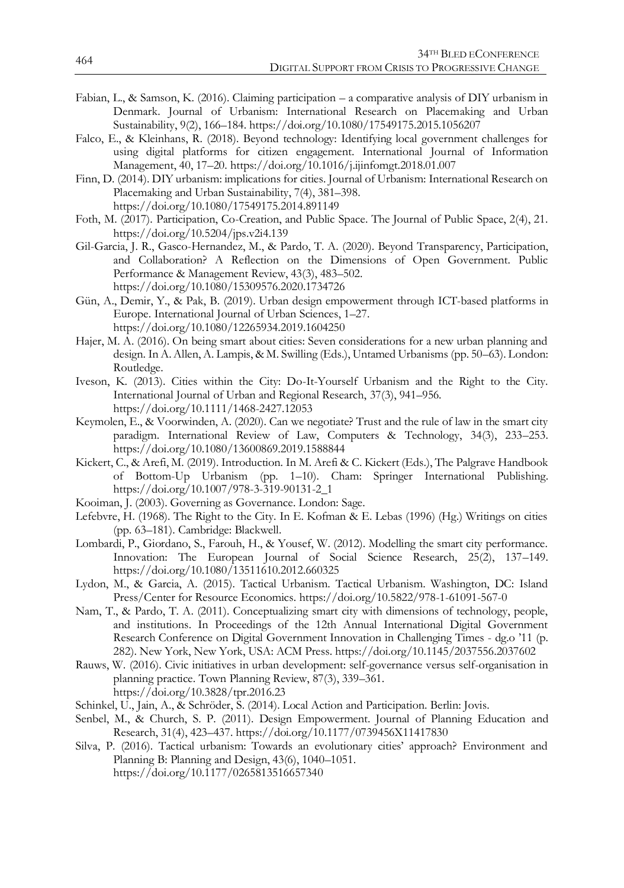- Fabian, L., & Samson, K. (2016). Claiming participation a comparative analysis of DIY urbanism in Denmark. Journal of Urbanism: International Research on Placemaking and Urban Sustainability, 9(2), 166–184. https://doi.org/10.1080/17549175.2015.1056207
- Falco, E., & Kleinhans, R. (2018). Beyond technology: Identifying local government challenges for using digital platforms for citizen engagement. International Journal of Information Management, 40, 17–20. https://doi.org/10.1016/j.ijinfomgt.2018.01.007
- Finn, D. (2014). DIY urbanism: implications for cities. Journal of Urbanism: International Research on Placemaking and Urban Sustainability, 7(4), 381–398. https://doi.org/10.1080/17549175.2014.891149
- Foth, M. (2017). Participation, Co-Creation, and Public Space. The Journal of Public Space, 2(4), 21. https://doi.org/10.5204/jps.v2i4.139
- Gil-Garcia, J. R., Gasco-Hernandez, M., & Pardo, T. A. (2020). Beyond Transparency, Participation, and Collaboration? A Reflection on the Dimensions of Open Government. Public Performance & Management Review, 43(3), 483–502. https://doi.org/10.1080/15309576.2020.1734726
- Gün, A., Demir, Y., & Pak, B. (2019). Urban design empowerment through ICT-based platforms in Europe. International Journal of Urban Sciences, 1–27. https://doi.org/10.1080/12265934.2019.1604250
- Hajer, M. A. (2016). On being smart about cities: Seven considerations for a new urban planning and design. In A. Allen, A. Lampis, & M. Swilling (Eds.), Untamed Urbanisms (pp. 50–63). London: Routledge.
- Iveson, K. (2013). Cities within the City: Do-It-Yourself Urbanism and the Right to the City. International Journal of Urban and Regional Research, 37(3), 941–956. https://doi.org/10.1111/1468-2427.12053
- Keymolen, E., & Voorwinden, A. (2020). Can we negotiate? Trust and the rule of law in the smart city paradigm. International Review of Law, Computers & Technology, 34(3), 233–253. https://doi.org/10.1080/13600869.2019.1588844
- Kickert, C., & Arefi, M. (2019). Introduction. In M. Arefi & C. Kickert (Eds.), The Palgrave Handbook of Bottom-Up Urbanism (pp. 1–10). Cham: Springer International Publishing. https://doi.org/10.1007/978-3-319-90131-2\_1
- Kooiman, J. (2003). Governing as Governance. London: Sage.
- Lefebvre, H. (1968). The Right to the City. In E. Kofman & E. Lebas (1996) (Hg.) Writings on cities (pp. 63–181). Cambridge: Blackwell.
- Lombardi, P., Giordano, S., Farouh, H., & Yousef, W. (2012). Modelling the smart city performance. Innovation: The European Journal of Social Science Research, 25(2), 137–149. https://doi.org/10.1080/13511610.2012.660325
- Lydon, M., & Garcia, A. (2015). Tactical Urbanism. Tactical Urbanism. Washington, DC: Island Press/Center for Resource Economics. https://doi.org/10.5822/978-1-61091-567-0
- Nam, T., & Pardo, T. A. (2011). Conceptualizing smart city with dimensions of technology, people, and institutions. In Proceedings of the 12th Annual International Digital Government Research Conference on Digital Government Innovation in Challenging Times - dg.o '11 (p. 282). New York, New York, USA: ACM Press. https://doi.org/10.1145/2037556.2037602
- Rauws, W. (2016). Civic initiatives in urban development: self-governance versus self-organisation in planning practice. Town Planning Review, 87(3), 339–361. https://doi.org/10.3828/tpr.2016.23
- Schinkel, U., Jain, A., & Schröder, S. (2014). Local Action and Participation. Berlin: Jovis.
- Senbel, M., & Church, S. P. (2011). Design Empowerment. Journal of Planning Education and Research, 31(4), 423–437. https://doi.org/10.1177/0739456X11417830
- Silva, P. (2016). Tactical urbanism: Towards an evolutionary cities' approach? Environment and Planning B: Planning and Design, 43(6), 1040–1051. https://doi.org/10.1177/0265813516657340